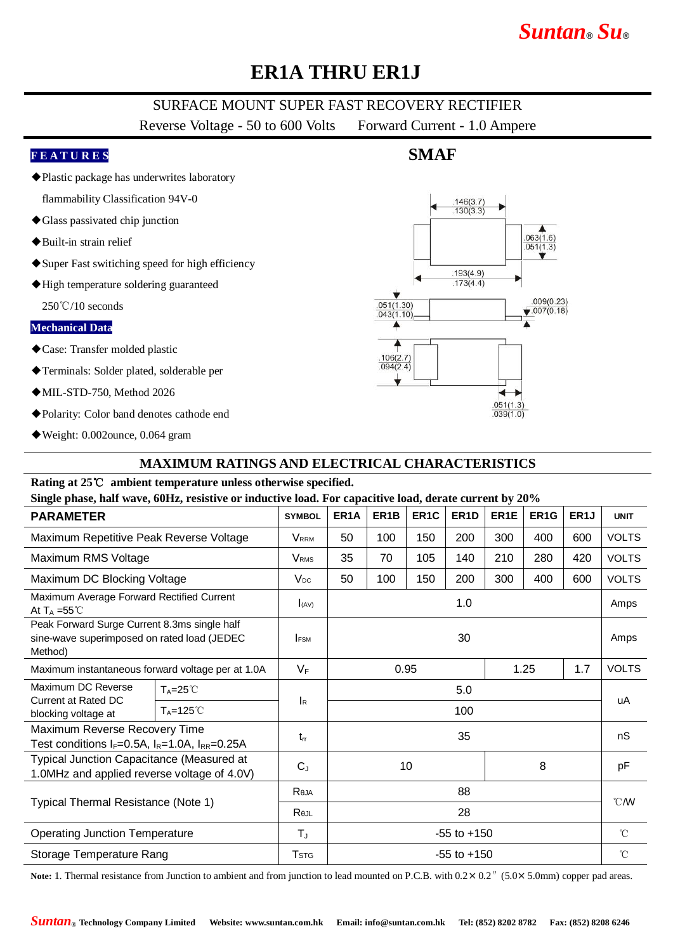# *Suntan***®** *Su***®**

# **ER1A THRU ER1J**

### SURFACE MOUNT SUPER FAST RECOVERY RECTIFIER

Reverse Voltage - 50 to 600 Volts Forward Current - 1.0 Ampere

**SMAF**

#### **F E A T U R E S**

◆Plastic package has underwrites laboratory

flammability Classification 94V-0

- ◆Glass passivated chip junction
- ◆Built-in strain relief
- ◆Super Fast switiching speed for high efficiency
- ◆High temperature soldering guaranteed

250℃/10 seconds

#### **Mechanical Data**

- ◆Case: Transfer molded plastic
- ◆Terminals: Solder plated, solderable per
- ◆MIL-STD-750, Method 2026
- ◆Polarity: Color band denotes cathode end
- ◆Weight: 0.002ounce, 0.064 gram

### **MAXIMUM RATINGS AND ELECTRICAL CHARACTERISTICS**

#### **Rating at 25**℃ **ambient temperature unless otherwise specified.**

#### **Single phase, half wave, 60Hz, resistive or inductive load. For capacitive load, derate current by 20%**

| <b>PARAMETER</b>                                                                                       |                      | <b>SYMBOL</b>           | ER <sub>1</sub> A   | ER <sub>1</sub> B | ER <sub>1</sub> C | ER <sub>1</sub> D | ER <sub>1</sub> E | ER <sub>1</sub> G | ER <sub>1</sub> J | <b>UNIT</b>  |
|--------------------------------------------------------------------------------------------------------|----------------------|-------------------------|---------------------|-------------------|-------------------|-------------------|-------------------|-------------------|-------------------|--------------|
| Maximum Repetitive Peak Reverse Voltage                                                                |                      | <b>V</b> <sub>RRM</sub> | 50                  | 100               | 150               | 200               | 300               | 400               | 600               | <b>VOLTS</b> |
| Maximum RMS Voltage                                                                                    |                      | <b>V</b> <sub>RMS</sub> | 35                  | 70                | 105               | 140               | 210               | 280               | 420               | <b>VOLTS</b> |
| Maximum DC Blocking Voltage                                                                            |                      | $V_{DC}$                | 50                  | 100               | 150               | 200               | 300               | 400               | 600               | <b>VOLTS</b> |
| Maximum Average Forward Rectified Current<br>At $T_A = 55^{\circ}$ C                                   |                      | I(AV)                   | 1.0                 |                   |                   |                   |                   |                   |                   | Amps         |
| Peak Forward Surge Current 8.3ms single half<br>sine-wave superimposed on rated load (JEDEC<br>Method) |                      | <b>IFSM</b>             | 30                  |                   |                   |                   |                   |                   | Amps              |              |
| Maximum instantaneous forward voltage per at 1.0A                                                      |                      | $V_F$                   | 0.95<br>1.25<br>1.7 |                   |                   |                   |                   | <b>VOLTS</b>      |                   |              |
| Maximum DC Reverse<br>Current at Rated DC<br>blocking voltage at                                       | $T_A = 25^{\circ}C$  | <b>I</b> R              | 5.0                 |                   |                   |                   |                   |                   |                   | uA           |
|                                                                                                        | $T_A = 125^{\circ}C$ |                         | 100                 |                   |                   |                   |                   |                   |                   |              |
| Maximum Reverse Recovery Time<br>Test conditions $I_F=0.5A$ , $I_R=1.0A$ , $I_{RR}=0.25A$              |                      | $t_{rr}$                | 35                  |                   |                   |                   |                   |                   | nS                |              |
| Typical Junction Capacitance (Measured at<br>1.0MHz and applied reverse voltage of 4.0V)               |                      | $C_{J}$                 | 8<br>10             |                   |                   |                   |                   | pF                |                   |              |
| Typical Thermal Resistance (Note 1)                                                                    |                      | Reja                    | 88                  |                   |                   |                   |                   |                   |                   | °CM          |
|                                                                                                        |                      | Rejl                    | 28                  |                   |                   |                   |                   |                   |                   |              |
| <b>Operating Junction Temperature</b>                                                                  |                      | $T_{\text{J}}$          | $-55$ to $+150$     |                   |                   |                   |                   |                   | $^{\circ}$ C      |              |
| Storage Temperature Rang                                                                               |                      | <b>T</b> <sub>STG</sub> | $-55$ to $+150$     |                   |                   |                   |                   |                   | $^{\circ}$ C      |              |

Note: 1. Thermal resistance from Junction to ambient and from junction to lead mounted on P.C.B. with  $0.2 \times 0.2$  " (5.0×5.0mm) copper pad areas.